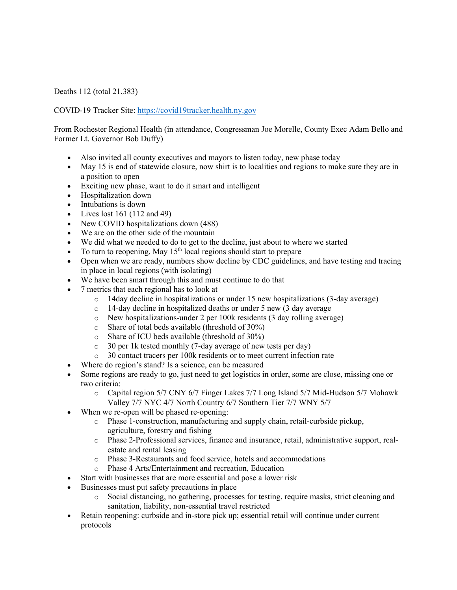Deaths 112 (total 21,383)

COVID-19 Tracker Site: https://covid19tracker.health.ny.gov

From Rochester Regional Health (in attendance, Congressman Joe Morelle, County Exec Adam Bello and Former Lt. Governor Bob Duffy)

- Also invited all county executives and mayors to listen today, new phase today
- May 15 is end of statewide closure, now shirt is to localities and regions to make sure they are in a position to open
- Exciting new phase, want to do it smart and intelligent
- Hospitalization down
- Intubations is down
- Lives lost 161 (112 and 49)
- New COVID hospitalizations down (488)
- We are on the other side of the mountain
- We did what we needed to do to get to the decline, just about to where we started
- To turn to reopening, May  $15<sup>th</sup>$  local regions should start to prepare
- Open when we are ready, numbers show decline by CDC guidelines, and have testing and tracing in place in local regions (with isolating)
- We have been smart through this and must continue to do that
- 7 metrics that each regional has to look at
	- o 14day decline in hospitalizations or under 15 new hospitalizations (3-day average)
	- o 14-day decline in hospitalized deaths or under 5 new (3 day average  $\circ$  New hospitalizations-under 2 per 100k residents (3 day rolling avera
	- New hospitalizations-under 2 per 100k residents (3 day rolling average)
	- o Share of total beds available (threshold of 30%)
	- o Share of ICU beds available (threshold of 30%)
	- o 30 per 1k tested monthly (7-day average of new tests per day)
	- o 30 contact tracers per 100k residents or to meet current infection rate
- Where do region's stand? Is a science, can be measured
- Some regions are ready to go, just need to get logistics in order, some are close, missing one or two criteria:
	- o Capital region 5/7 CNY 6/7 Finger Lakes 7/7 Long Island 5/7 Mid-Hudson 5/7 Mohawk Valley 7/7 NYC 4/7 North Country 6/7 Southern Tier 7/7 WNY 5/7
- When we re-open will be phased re-opening:
	- o Phase 1-construction, manufacturing and supply chain, retail-curbside pickup, agriculture, forestry and fishing
	- o Phase 2-Professional services, finance and insurance, retail, administrative support, realestate and rental leasing
	- o Phase 3-Restaurants and food service, hotels and accommodations
	- o Phase 4 Arts/Entertainment and recreation, Education
- Start with businesses that are more essential and pose a lower risk
- Businesses must put safety precautions in place
	- o Social distancing, no gathering, processes for testing, require masks, strict cleaning and sanitation, liability, non-essential travel restricted
- Retain reopening: curbside and in-store pick up; essential retail will continue under current protocols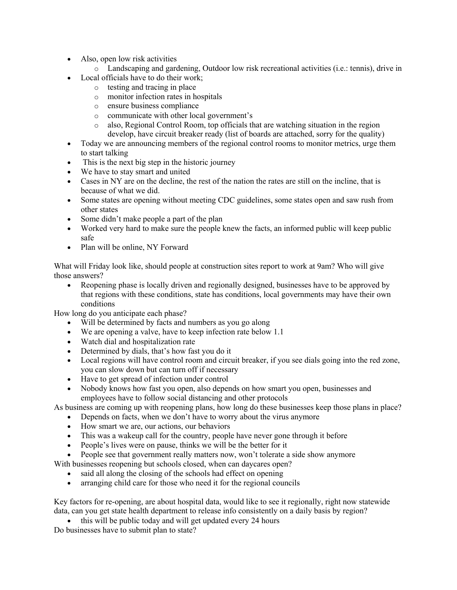- Also, open low risk activities
	- o Landscaping and gardening, Outdoor low risk recreational activities (i.e.: tennis), drive in
- Local officials have to do their work;
	- o testing and tracing in place
	- o monitor infection rates in hospitals
	- o ensure business compliance
	- o communicate with other local government's
	- o also, Regional Control Room, top officials that are watching situation in the region develop, have circuit breaker ready (list of boards are attached, sorry for the quality)
- Today we are announcing members of the regional control rooms to monitor metrics, urge them to start talking
- This is the next big step in the historic journey
- We have to stay smart and united
- Cases in NY are on the decline, the rest of the nation the rates are still on the incline, that is because of what we did.
- Some states are opening without meeting CDC guidelines, some states open and saw rush from other states
- Some didn't make people a part of the plan
- Worked very hard to make sure the people knew the facts, an informed public will keep public safe
- Plan will be online, NY Forward

What will Friday look like, should people at construction sites report to work at 9am? Who will give those answers?

• Reopening phase is locally driven and regionally designed, businesses have to be approved by that regions with these conditions, state has conditions, local governments may have their own conditions

How long do you anticipate each phase?

- Will be determined by facts and numbers as you go along
- We are opening a valve, have to keep infection rate below 1.1
- Watch dial and hospitalization rate
- Determined by dials, that's how fast you do it
- Local regions will have control room and circuit breaker, if you see dials going into the red zone, you can slow down but can turn off if necessary
- Have to get spread of infection under control
- Nobody knows how fast you open, also depends on how smart you open, businesses and employees have to follow social distancing and other protocols

As business are coming up with reopening plans, how long do these businesses keep those plans in place?

- Depends on facts, when we don't have to worry about the virus anymore
- How smart we are, our actions, our behaviors
- This was a wakeup call for the country, people have never gone through it before
- People's lives were on pause, thinks we will be the better for it
- People see that government really matters now, won't tolerate a side show anymore
- With businesses reopening but schools closed, when can daycares open?
	- said all along the closing of the schools had effect on opening
	- arranging child care for those who need it for the regional councils

Key factors for re-opening, are about hospital data, would like to see it regionally, right now statewide data, can you get state health department to release info consistently on a daily basis by region?

• this will be public today and will get updated every 24 hours

Do businesses have to submit plan to state?